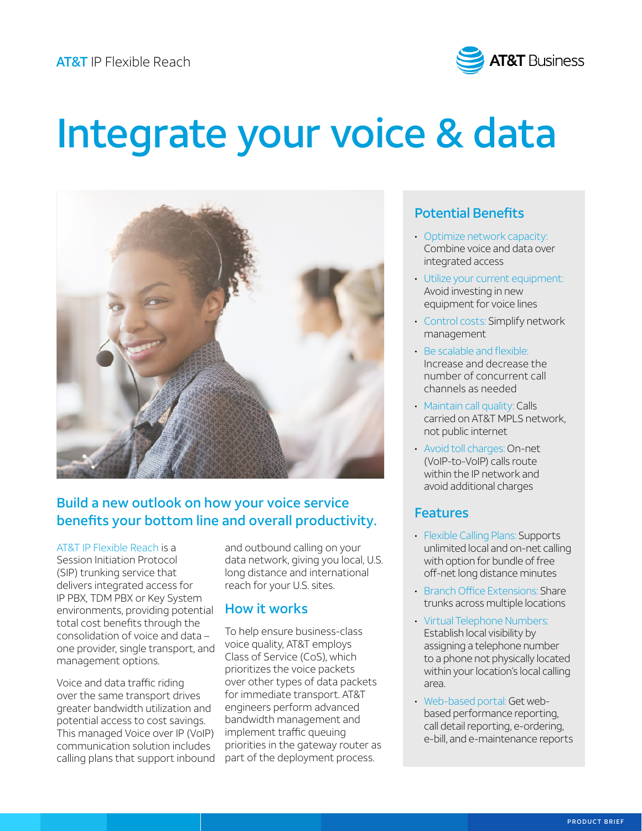

# Integrate your voice & data



# Build a new outlook on how your voice service benefits your bottom line and overall productivity.

[AT&T IP Flexible Reach](https://www.business.att.com/products/sip-trunking.html?source=EBVcDFIPF0000000L&wtExtndSource=SIPTrunking&LNS=VN_VC_SIPT_IPFlexBrochure_1018) is a Session Initiation Protocol (SIP) trunking service that delivers integrated access for IP PBX, TDM PBX or Key System environments, providing potential total cost benefits through the consolidation of voice and data – one provider, single transport, and management options.

Voice and data traffic riding over the same transport drives greater bandwidth utilization and potential access to cost savings. This managed Voice over IP (VoIP) communication solution includes calling plans that support inbound and outbound calling on your data network, giving you local, U.S. long distance and international reach for your U.S. sites.

#### How it works

To help ensure business-class voice quality, AT&T employs Class of Service (CoS), which prioritizes the voice packets over other types of data packets for immediate transport. AT&T engineers perform advanced bandwidth management and implement traffic queuing priorities in the gateway router as part of the deployment process.

### Potential Benefits

- Optimize network capacity: Combine voice and data over integrated access
- Utilize your current equipment: Avoid investing in new equipment for voice lines
- Control costs: Simplify network management
- Be scalable and flexible: Increase and decrease the number of concurrent call channels as needed
- Maintain call quality: Calls carried on AT&T MPLS network, not public internet
- Avoid toll charges: On-net (VoIP-to-VoIP) calls route within the IP network and avoid additional charges

#### Features

- Flexible Calling Plans: Supports unlimited local and on-net calling with option for bundle of free off-net long distance minutes
- Branch Office Extensions: Share trunks across multiple locations
- Virtual Telephone Numbers: Establish local visibility by assigning a telephone number to a phone not physically located within your location's local calling area.
- Web-based portal: Get webbased performance reporting, call detail reporting, e-ordering, e-bill, and e-maintenance reports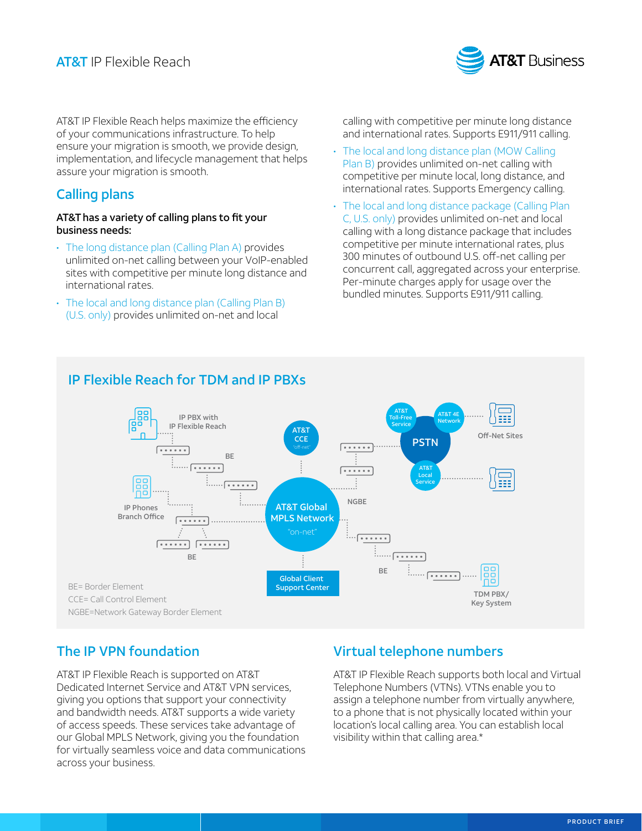

AT&T IP Flexible Reach helps maximize the efficiency of your communications infrastructure. To help ensure your migration is smooth, we provide design, implementation, and lifecycle management that helps assure your migration is smooth.

# Calling plans

#### AT&T has a variety of calling plans to fit your business needs:

- The long distance plan (Calling Plan A) provides unlimited on-net calling between your VoIP-enabled sites with competitive per minute long distance and international rates.
- The local and long distance plan (Calling Plan B) (U.S. only) provides unlimited on-net and local

calling with competitive per minute long distance and international rates. Supports E911/911 calling.

- The local and long distance plan (MOW Calling Plan B) provides unlimited on-net calling with competitive per minute local, long distance, and international rates. Supports Emergency calling.
- The local and long distance package (Calling Plan C, U.S. only) provides unlimited on-net and local calling with a long distance package that includes competitive per minute international rates, plus 300 minutes of outbound U.S. off-net calling per concurrent call, aggregated across your enterprise. Per-minute charges apply for usage over the bundled minutes. Supports E911/911 calling.



# The IP VPN foundation

AT&T IP Flexible Reach is supported on AT&T Dedicated Internet Service and AT&T VPN services, giving you options that support your connectivity and bandwidth needs. AT&T supports a wide variety of access speeds. These services take advantage of our Global MPLS Network, giving you the foundation for virtually seamless voice and data communications across your business.

# Virtual telephone numbers

AT&T IP Flexible Reach supports both local and Virtual Telephone Numbers (VTNs). VTNs enable you to assign a telephone number from virtually anywhere, to a phone that is not physically located within your location's local calling area. You can establish local visibility within that calling area.\*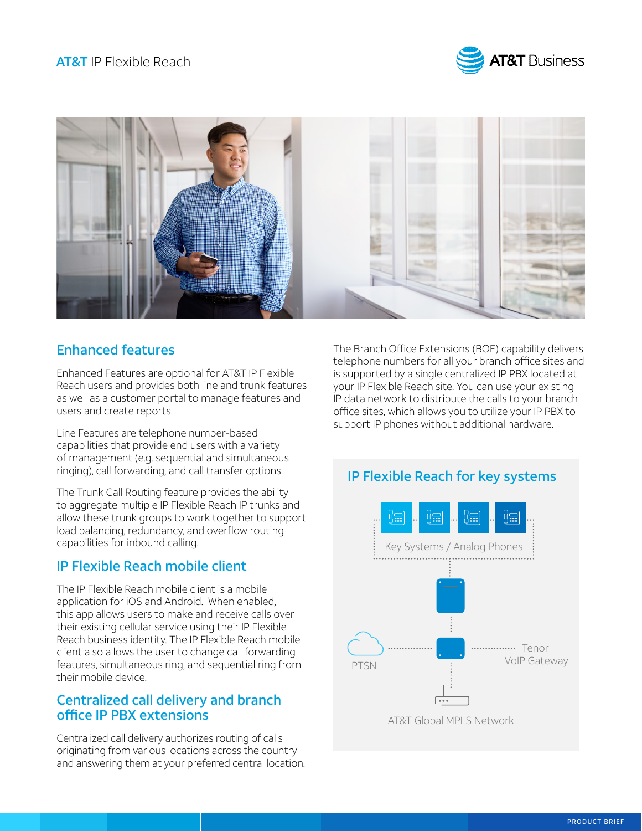



# Enhanced features

Enhanced Features are optional for AT&T IP Flexible Reach users and provides both line and trunk features as well as a customer portal to manage features and users and create reports.

Line Features are telephone number-based capabilities that provide end users with a variety of management (e.g. sequential and simultaneous ringing), call forwarding, and call transfer options.

The Trunk Call Routing feature provides the ability to aggregate multiple IP Flexible Reach IP trunks and allow these trunk groups to work together to support load balancing, redundancy, and overflow routing capabilities for inbound calling.

# IP Flexible Reach mobile client

The IP Flexible Reach mobile client is a mobile application for iOS and Android. When enabled, this app allows users to make and receive calls over their existing cellular service using their IP Flexible Reach business identity. The IP Flexible Reach mobile client also allows the user to change call forwarding features, simultaneous ring, and sequential ring from their mobile device.

### Centralized call delivery and branch office IP PBX extensions

Centralized call delivery authorizes routing of calls originating from various locations across the country and answering them at your preferred central location.

The Branch Office Extensions (BOE) capability delivers telephone numbers for all your branch office sites and is supported by a single centralized IP PBX located at your IP Flexible Reach site. You can use your existing IP data network to distribute the calls to your branch office sites, which allows you to utilize your IP PBX to support IP phones without additional hardware.

# IP Flexible Reach for key systems